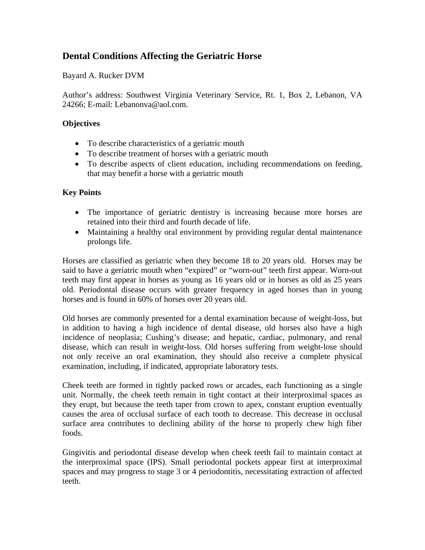# **Dental Conditions Affecting the Geriatric Horse**

Bayard A. Rucker DVM

Author's address: Southwest Virginia Veterinary Service, Rt. 1, Box 2, Lebanon, VA 24266; E-mail: Lebanonva@aol.com.

#### **Objectives**

- To describe characteristics of a geriatric mouth
- To describe treatment of horses with a geriatric mouth
- To describe aspects of client education, including recommendations on feeding, that may benefit a horse with a geriatric mouth

## **Key Points**

- The importance of geriatric dentistry is increasing because more horses are retained into their third and fourth decade of life.
- Maintaining a healthy oral environment by providing regular dental maintenance prolongs life.

Horses are classified as geriatric when they become 18 to 20 years old. Horses may be said to have a geriatric mouth when "expired" or "worn-out" teeth first appear. Worn-out teeth may first appear in horses as young as 16 years old or in horses as old as 25 years old. Periodontal disease occurs with greater frequency in aged horses than in young horses and is found in 60% of horses over 20 years old.

Old horses are commonly presented for a dental examination because of weight-loss, but in addition to having a high incidence of dental disease, old horses also have a high incidence of neoplasia; Cushing's disease; and hepatic, cardiac, pulmonary, and renal disease, which can result in weight-loss. Old horses suffering from weight-lose should not only receive an oral examination, they should also receive a complete physical examination, including, if indicated, appropriate laboratory tests.

Cheek teeth are formed in tightly packed rows or arcades, each functioning as a single unit. Normally, the cheek teeth remain in tight contact at their interproximal spaces as they erupt, but because the teeth taper from crown to apex, constant eruption eventually causes the area of occlusal surface of each tooth to decrease. This decrease in occlusal surface area contributes to declining ability of the horse to properly chew high fiber foods.

Gingivitis and periodontal disease develop when cheek teeth fail to maintain contact at the interproximal space (IPS). Small periodontal pockets appear first at interproximal spaces and may progress to stage 3 or 4 periodontitis, necessitating extraction of affected teeth.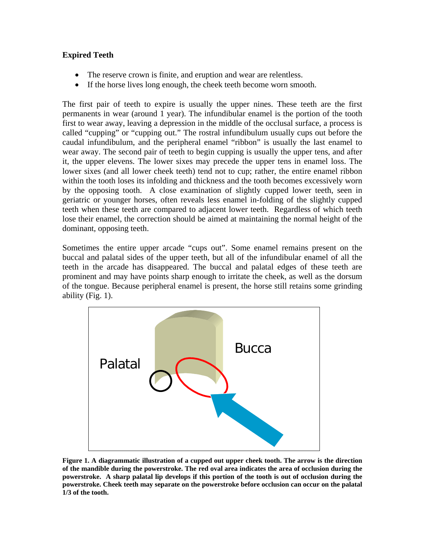## **Expired Teeth**

- The reserve crown is finite, and eruption and wear are relentless.
- If the horse lives long enough, the cheek teeth become worn smooth.

The first pair of teeth to expire is usually the upper nines. These teeth are the first permanents in wear (around 1 year). The infundibular enamel is the portion of the tooth first to wear away, leaving a depression in the middle of the occlusal surface, a process is called "cupping" or "cupping out." The rostral infundibulum usually cups out before the caudal infundibulum, and the peripheral enamel "ribbon" is usually the last enamel to wear away. The second pair of teeth to begin cupping is usually the upper tens, and after it, the upper elevens. The lower sixes may precede the upper tens in enamel loss. The lower sixes (and all lower cheek teeth) tend not to cup; rather, the entire enamel ribbon within the tooth loses its infolding and thickness and the tooth becomes excessively worn by the opposing tooth. A close examination of slightly cupped lower teeth, seen in geriatric or younger horses, often reveals less enamel in-folding of the slightly cupped teeth when these teeth are compared to adjacent lower teeth. Regardless of which teeth lose their enamel, the correction should be aimed at maintaining the normal height of the dominant, opposing teeth.

Sometimes the entire upper arcade "cups out". Some enamel remains present on the buccal and palatal sides of the upper teeth, but all of the infundibular enamel of all the teeth in the arcade has disappeared. The buccal and palatal edges of these teeth are prominent and may have points sharp enough to irritate the cheek, as well as the dorsum of the tongue. Because peripheral enamel is present, the horse still retains some grinding ability (Fig. 1).



**Figure 1. A diagrammatic illustration of a cupped out upper cheek tooth. The arrow is the direction of the mandible during the powerstroke. The red oval area indicates the area of occlusion during the powerstroke. A sharp palatal lip develops if this portion of the tooth is out of occlusion during the powerstroke. Cheek teeth may separate on the powerstroke before occlusion can occur on the palatal 1/3 of the tooth.**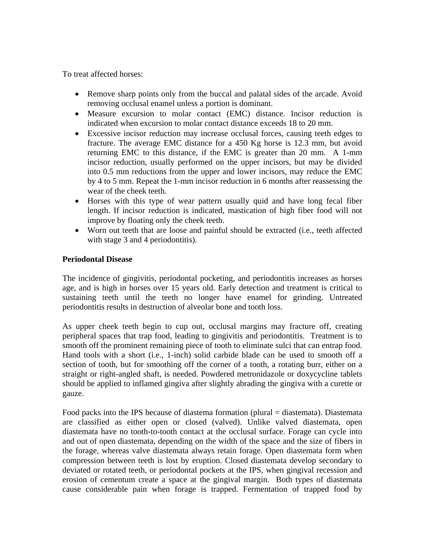To treat affected horses:

- Remove sharp points only from the buccal and palatal sides of the arcade. Avoid removing occlusal enamel unless a portion is dominant.
- Measure excursion to molar contact (EMC) distance. Incisor reduction is indicated when excursion to molar contact distance exceeds 18 to 20 mm.
- Excessive incisor reduction may increase occlusal forces, causing teeth edges to fracture. The average EMC distance for a 450 Kg horse is 12.3 mm, but avoid returning EMC to this distance, if the EMC is greater than 20 mm. A 1-mm incisor reduction, usually performed on the upper incisors, but may be divided into 0.5 mm reductions from the upper and lower incisors, may reduce the EMC by 4 to 5 mm. Repeat the 1-mm incisor reduction in 6 months after reassessing the wear of the cheek teeth.
- Horses with this type of wear pattern usually quid and have long fecal fiber length. If incisor reduction is indicated, mastication of high fiber food will not improve by floating only the cheek teeth.
- Worn out teeth that are loose and painful should be extracted (i.e., teeth affected with stage 3 and 4 periodontitis).

#### **Periodontal Disease**

The incidence of gingivitis, periodontal pocketing, and periodontitis increases as horses age, and is high in horses over 15 years old. Early detection and treatment is critical to sustaining teeth until the teeth no longer have enamel for grinding. Untreated periodontitis results in destruction of alveolar bone and tooth loss.

As upper cheek teeth begin to cup out, occlusal margins may fracture off, creating peripheral spaces that trap food, leading to gingivitis and periodontitis. Treatment is to smooth off the prominent remaining piece of tooth to eliminate sulci that can entrap food. Hand tools with a short (i.e., 1-inch) solid carbide blade can be used to smooth off a section of tooth, but for smoothing off the corner of a tooth, a rotating burr, either on a straight or right-angled shaft, is needed. Powdered metronidazole or doxycycline tablets should be applied to inflamed gingiva after slightly abrading the gingiva with a curette or gauze.

Food packs into the IPS because of diastema formation (plural = diastemata). Diastemata are classified as either open or closed (valved). Unlike valved diastemata, open diastemata have no tooth-to-tooth contact at the occlusal surface. Forage can cycle into and out of open diastemata, depending on the width of the space and the size of fibers in the forage, whereas valve diastemata always retain forage. Open diastemata form when compression between teeth is lost by eruption. Closed diastemata develop secondary to deviated or rotated teeth, or periodontal pockets at the IPS, when gingival recession and erosion of cementum create a space at the gingival margin. Both types of diastemata cause considerable pain when forage is trapped. Fermentation of trapped food by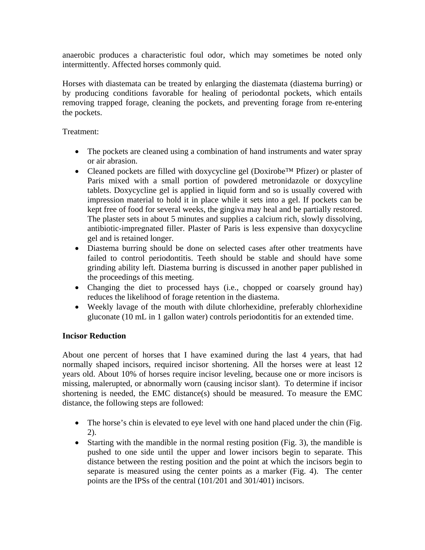anaerobic produces a characteristic foul odor, which may sometimes be noted only intermittently. Affected horses commonly quid.

Horses with diastemata can be treated by enlarging the diastemata (diastema burring) or by producing conditions favorable for healing of periodontal pockets, which entails removing trapped forage, cleaning the pockets, and preventing forage from re-entering the pockets.

#### Treatment:

- The pockets are cleaned using a combination of hand instruments and water spray or air abrasion.
- Cleaned pockets are filled with doxycycline gel (Doxirobe™ Pfizer) or plaster of Paris mixed with a small portion of powdered metronidazole or doxycyline tablets. Doxycycline gel is applied in liquid form and so is usually covered with impression material to hold it in place while it sets into a gel. If pockets can be kept free of food for several weeks, the gingiva may heal and be partially restored. The plaster sets in about 5 minutes and supplies a calcium rich, slowly dissolving, antibiotic-impregnated filler. Plaster of Paris is less expensive than doxycycline gel and is retained longer.
- Diastema burring should be done on selected cases after other treatments have failed to control periodontitis. Teeth should be stable and should have some grinding ability left. Diastema burring is discussed in another paper published in the proceedings of this meeting.
- Changing the diet to processed hays (i.e., chopped or coarsely ground hay) reduces the likelihood of forage retention in the diastema.
- Weekly lavage of the mouth with dilute chlorhexidine, preferably chlorhexidine gluconate (10 mL in 1 gallon water) controls periodontitis for an extended time.

#### **Incisor Reduction**

About one percent of horses that I have examined during the last 4 years, that had normally shaped incisors, required incisor shortening. All the horses were at least 12 years old. About 10% of horses require incisor leveling, because one or more incisors is missing, malerupted, or abnormally worn (causing incisor slant). To determine if incisor shortening is needed, the EMC distance(s) should be measured. To measure the EMC distance, the following steps are followed:

- The horse's chin is elevated to eye level with one hand placed under the chin (Fig. 2).
- Starting with the mandible in the normal resting position (Fig. 3), the mandible is pushed to one side until the upper and lower incisors begin to separate. This distance between the resting position and the point at which the incisors begin to separate is measured using the center points as a marker (Fig. 4). The center points are the IPSs of the central (101/201 and 301/401) incisors.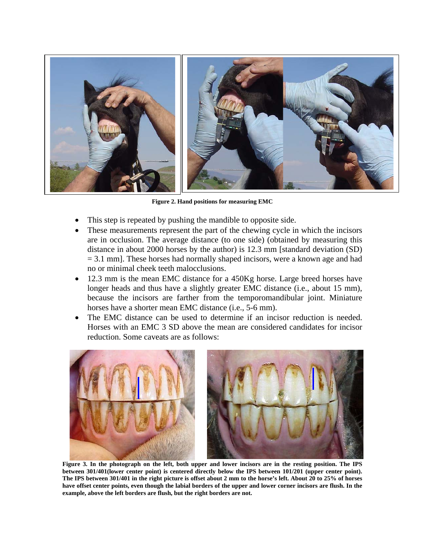

**Figure 2. Hand positions for measuring EMC** 

- This step is repeated by pushing the mandible to opposite side.
- These measurements represent the part of the chewing cycle in which the incisors are in occlusion. The average distance (to one side) (obtained by measuring this distance in about 2000 horses by the author) is 12.3 mm [standard deviation (SD)  $= 3.1$  mm]. These horses had normally shaped incisors, were a known age and had no or minimal cheek teeth malocclusions.
- 12.3 mm is the mean EMC distance for a 450Kg horse. Large breed horses have longer heads and thus have a slightly greater EMC distance (i.e., about 15 mm), because the incisors are farther from the temporomandibular joint. Miniature horses have a shorter mean EMC distance (i.e., 5-6 mm).
- The EMC distance can be used to determine if an incisor reduction is needed. Horses with an EMC 3 SD above the mean are considered candidates for incisor reduction. Some caveats are as follows:



**Figure 3. In the photograph on the left, both upper and lower incisors are in the resting position. The IPS between 301/401(lower center point) is centered directly below the IPS between 101/201 (upper center point). The IPS between 301/401 in the right picture is offset about 2 mm to the horse's left. About 20 to 25% of horses have offset center points, even though the labial borders of the upper and lower corner incisors are flush. In the example, above the left borders are flush, but the right borders are not.**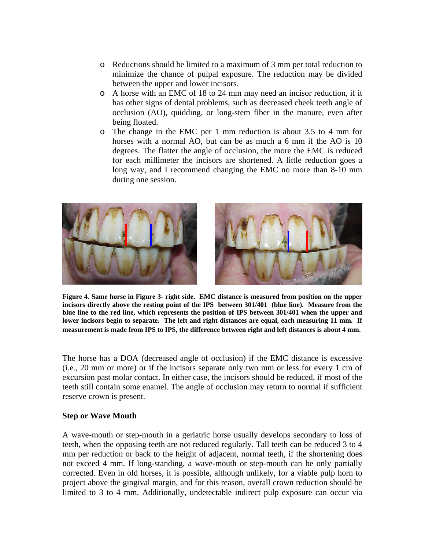- o Reductions should be limited to a maximum of 3 mm per total reduction to minimize the chance of pulpal exposure. The reduction may be divided between the upper and lower incisors.
- o A horse with an EMC of 18 to 24 mm may need an incisor reduction, if it has other signs of dental problems, such as decreased cheek teeth angle of occlusion (AO), quidding, or long-stem fiber in the manure, even after being floated.
- o The change in the EMC per 1 mm reduction is about 3.5 to 4 mm for horses with a normal AO, but can be as much a 6 mm if the AO is 10 degrees. The flatter the angle of occlusion, the more the EMC is reduced for each millimeter the incisors are shortened. A little reduction goes a long way, and I recommend changing the EMC no more than 8-10 mm during one session.



**Figure 4. Same horse in Figure 3- right side. EMC distance is measured from position on the upper incisors directly above the resting point of the IPS between 301/401 (blue line). Measure from the blue line to the red line, which represents the position of IPS between 301/401 when the upper and lower incisors begin to separate. The left and right distances are equal, each measuring 11 mm. If measurement is made from IPS to IPS, the difference between right and left distances is about 4 mm**.

The horse has a DOA (decreased angle of occlusion) if the EMC distance is excessive (i.e., 20 mm or more) or if the incisors separate only two mm or less for every 1 cm of excursion past molar contact. In either case, the incisors should be reduced, if most of the teeth still contain some enamel. The angle of occlusion may return to normal if sufficient reserve crown is present.

#### **Step or Wave Mouth**

A wave-mouth or step-mouth in a geriatric horse usually develops secondary to loss of teeth, when the opposing teeth are not reduced regularly. Tall teeth can be reduced 3 to 4 mm per reduction or back to the height of adjacent, normal teeth, if the shortening does not exceed 4 mm. If long-standing, a wave-mouth or step-mouth can be only partially corrected. Even in old horses, it is possible, although unlikely, for a viable pulp horn to project above the gingival margin, and for this reason, overall crown reduction should be limited to 3 to 4 mm. Additionally, undetectable indirect pulp exposure can occur via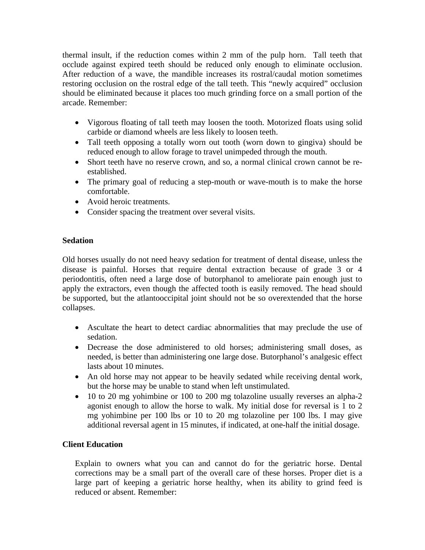thermal insult, if the reduction comes within 2 mm of the pulp horn. Tall teeth that occlude against expired teeth should be reduced only enough to eliminate occlusion. After reduction of a wave, the mandible increases its rostral/caudal motion sometimes restoring occlusion on the rostral edge of the tall teeth. This "newly acquired" occlusion should be eliminated because it places too much grinding force on a small portion of the arcade. Remember:

- Vigorous floating of tall teeth may loosen the tooth. Motorized floats using solid carbide or diamond wheels are less likely to loosen teeth.
- Tall teeth opposing a totally worn out tooth (worn down to gingiva) should be reduced enough to allow forage to travel unimpeded through the mouth.
- Short teeth have no reserve crown, and so, a normal clinical crown cannot be reestablished.
- The primary goal of reducing a step-mouth or wave-mouth is to make the horse comfortable.
- Avoid heroic treatments.
- Consider spacing the treatment over several visits.

## **Sedation**

Old horses usually do not need heavy sedation for treatment of dental disease, unless the disease is painful. Horses that require dental extraction because of grade 3 or 4 periodontitis, often need a large dose of butorphanol to ameliorate pain enough just to apply the extractors, even though the affected tooth is easily removed. The head should be supported, but the atlantooccipital joint should not be so overextended that the horse collapses.

- Ascultate the heart to detect cardiac abnormalities that may preclude the use of sedation.
- Decrease the dose administered to old horses; administering small doses, as needed, is better than administering one large dose. Butorphanol's analgesic effect lasts about 10 minutes.
- An old horse may not appear to be heavily sedated while receiving dental work, but the horse may be unable to stand when left unstimulated.
- 10 to 20 mg yohimbine or 100 to 200 mg tolazoline usually reverses an alpha-2 agonist enough to allow the horse to walk. My initial dose for reversal is 1 to 2 mg yohimbine per 100 lbs or 10 to 20 mg tolazoline per 100 lbs. I may give additional reversal agent in 15 minutes, if indicated, at one-half the initial dosage.

## **Client Education**

Explain to owners what you can and cannot do for the geriatric horse. Dental corrections may be a small part of the overall care of these horses. Proper diet is a large part of keeping a geriatric horse healthy, when its ability to grind feed is reduced or absent. Remember: